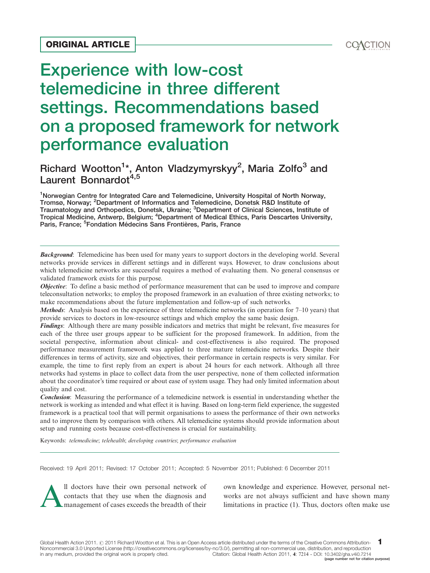# Experience with low-cost telemedicine in three different settings. Recommendations based on a proposed framework for network performance evaluation ORIGINAL ARTICLE<br>
Experience with low-cost<br>
telemedicine in three different<br>
settings. Recommendations based

Richard Wootton<sup>1\*</sup>, Anton Vladzymyrskyy<sup>2</sup>, Maria Zolfo<sup>3</sup> and Laurent Bonnardot $4,5$ 

<sup>1</sup>Norwegian Centre for Integrated Care and Telemedicine, University Hospital of North Norway, Tromsø, Norway; <sup>2</sup>Department of Informatics and Telemedicine, Donetsk R&D Institute of Traumatology and Orthopedics, Donetsk, Ukraine; <sup>3</sup>Department of Clinical Sciences, Institute of Tropical Medicine, Antwerp, Belgium; <sup>4</sup>Department of Medical Ethics, Paris Descartes University, Paris, France; <sup>5</sup>Fondation Médecins Sans Frontières, Paris, France

**Background:** Telemedicine has been used for many years to support doctors in the developing world. Several networks provide services in different settings and in different ways. However, to draw conclusions about which telemedicine networks are successful requires a method of evaluating them. No general consensus or validated framework exists for this purpose.

**Objective:** To define a basic method of performance measurement that can be used to improve and compare teleconsultation networks; to employ the proposed framework in an evaluation of three existing networks; to make recommendations about the future implementation and follow-up of such networks.

*Methods*: Analysis based on the experience of three telemedicine networks (in operation for  $7-10$  years) that provide services to doctors in low-resource settings and which employ the same basic design.

Findings: Although there are many possible indicators and metrics that might be relevant, five measures for each of the three user groups appear to be sufficient for the proposed framework. In addition, from the societal perspective, information about clinical- and cost-effectiveness is also required. The proposed performance measurement framework was applied to three mature telemedicine networks. Despite their differences in terms of activity, size and objectives, their performance in certain respects is very similar. For example, the time to first reply from an expert is about 24 hours for each network. Although all three networks had systems in place to collect data from the user perspective, none of them collected information about the coordinator's time required or about ease of system usage. They had only limited information about quality and cost.

**Conclusion:** Measuring the performance of a telemedicine network is essential in understanding whether the network is working as intended and what effect it is having. Based on long-term field experience, the suggested framework is a practical tool that will permit organisations to assess the performance of their own networks and to improve them by comparison with others. All telemedicine systems should provide information about setup and running costs because cost-effectiveness is crucial for sustainability.

Keywords: telemedicine; telehealth; developing countries; performance evaluation

Received: 19 April 2011; Revised: 17 October 2011; Accepted: 5 November 2011; Published: 6 December 2011

All doctors have their own personal network of contacts that they use when the diagnosis and management of cases exceeds the breadth of their contacts that they use when the diagnosis and own knowledge and experience. However, personal networks are not always sufficient and have shown many limitations in practice (1). Thus, doctors often make use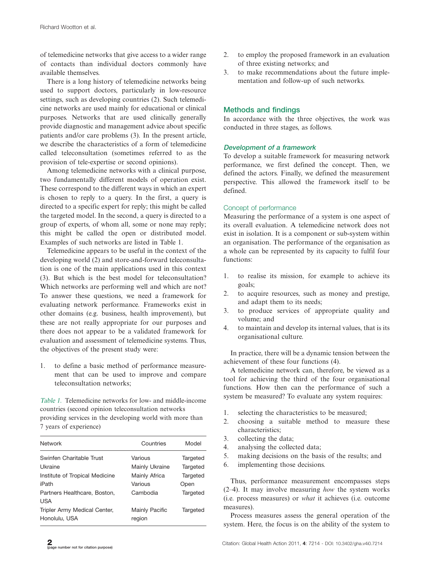of telemedicine networks that give access to a wider range of contacts than individual doctors commonly have available themselves.

There is a long history of telemedicine networks being used to support doctors, particularly in low-resource settings, such as developing countries (2). Such telemedicine networks are used mainly for educational or clinical purposes. Networks that are used clinically generally provide diagnostic and management advice about specific patients and/or care problems (3). In the present article, we describe the characteristics of a form of telemedicine called teleconsultation (sometimes referred to as the provision of tele-expertise or second opinions).

Among telemedicine networks with a clinical purpose, two fundamentally different models of operation exist. These correspond to the different ways in which an expert is chosen to reply to a query. In the first, a query is directed to a specific expert for reply; this might be called the targeted model. In the second, a query is directed to a group of experts, of whom all, some or none may reply; this might be called the open or distributed model. Examples of such networks are listed in Table 1.

Telemedicine appears to be useful in the context of the developing world (2) and store-and-forward teleconsultation is one of the main applications used in this context (3). But which is the best model for teleconsultation? Which networks are performing well and which are not? To answer these questions, we need a framework for evaluating network performance. Frameworks exist in other domains (e.g. business, health improvement), but these are not really appropriate for our purposes and there does not appear to be a validated framework for evaluation and assessment of telemedicine systems. Thus, the objectives of the present study were:

1. to define a basic method of performance measurement that can be used to improve and compare teleconsultation networks;

Table 1. Telemedicine networks for low- and middle-income countries (second opinion teleconsultation networks providing services in the developing world with more than 7 years of experience)

| <b>Network</b>                                | Countries                | Model    |
|-----------------------------------------------|--------------------------|----------|
| Swinfen Charitable Trust                      | Various                  | Targeted |
| Ukraine                                       | Mainly Ukraine           | Targeted |
| Institute of Tropical Medicine                | Mainly Africa            | Targeted |
| iPath                                         | Various                  | Open     |
| Partners Healthcare, Boston,<br>USA           | Cambodia                 | Targeted |
| Tripler Army Medical Center,<br>Honolulu, USA | Mainly Pacific<br>region | Targeted |

- 2. to employ the proposed framework in an evaluation of three existing networks; and
- 3. to make recommendations about the future implementation and follow-up of such networks.

# Methods and findings

In accordance with the three objectives, the work was conducted in three stages, as follows.

# Development of <sup>a</sup> framework

To develop a suitable framework for measuring network performance, we first defined the concept. Then, we defined the actors. Finally, we defined the measurement perspective. This allowed the framework itself to be defined.

# Concept of performance

Measuring the performance of a system is one aspect of its overall evaluation. A telemedicine network does not exist in isolation. It is a component or sub-system within an organisation. The performance of the organisation as a whole can be represented by its capacity to fulfil four functions:

- 1. to realise its mission, for example to achieve its goals;
- 2. to acquire resources, such as money and prestige, and adapt them to its needs;
- 3. to produce services of appropriate quality and volume; and
- 4. to maintain and develop its internal values, that is its organisational culture.

In practice, there will be a dynamic tension between the achievement of these four functions (4).

A telemedicine network can, therefore, be viewed as a tool for achieving the third of the four organisational functions. How then can the performance of such a system be measured? To evaluate any system requires:

- 1. selecting the characteristics to be measured;
- 2. choosing a suitable method to measure these characteristics;
- 3. collecting the data;
- 4. analysing the collected data;
- 5. making decisions on the basis of the results; and
- 6. implementing those decisions.

Thus, performance measurement encompasses steps  $(2-4)$ . It may involve measuring *how* the system works (i.e. process measures) or what it achieves (i.e. outcome measures).

Process measures assess the general operation of the system. Here, the focus is on the ability of the system to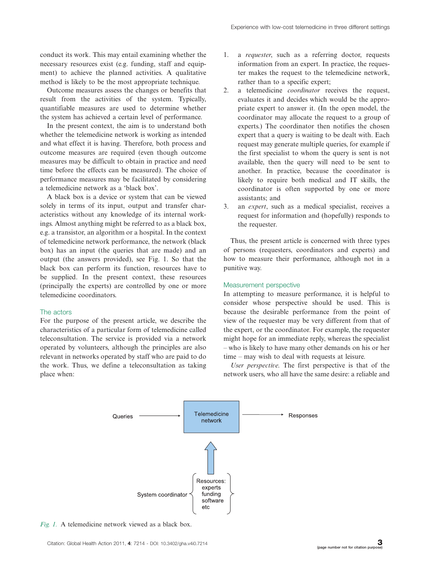conduct its work. This may entail examining whether the necessary resources exist (e.g. funding, staff and equipment) to achieve the planned activities. A qualitative method is likely to be the most appropriate technique.

Outcome measures assess the changes or benefits that result from the activities of the system. Typically, quantifiable measures are used to determine whether the system has achieved a certain level of performance.

In the present context, the aim is to understand both whether the telemedicine network is working as intended and what effect it is having. Therefore, both process and outcome measures are required (even though outcome measures may be difficult to obtain in practice and need time before the effects can be measured). The choice of performance measures may be facilitated by considering a telemedicine network as a 'black box'.

A black box is a device or system that can be viewed solely in terms of its input, output and transfer characteristics without any knowledge of its internal workings. Almost anything might be referred to as a black box, e.g. a transistor, an algorithm or a hospital. In the context of telemedicine network performance, the network (black box) has an input (the queries that are made) and an output (the answers provided), see Fig. 1. So that the black box can perform its function, resources have to be supplied. In the present context, these resources (principally the experts) are controlled by one or more telemedicine coordinators.

### The actors

For the purpose of the present article, we describe the characteristics of a particular form of telemedicine called teleconsultation. The service is provided via a network operated by volunteers, although the principles are also relevant in networks operated by staff who are paid to do the work. Thus, we define a teleconsultation as taking place when:

- 1. a requester, such as a referring doctor, requests information from an expert. In practice, the requester makes the request to the telemedicine network, rather than to a specific expert;
- 2. a telemedicine *coordinator* receives the request, evaluates it and decides which would be the appropriate expert to answer it. (In the open model, the coordinator may allocate the request to a group of experts.) The coordinator then notifies the chosen expert that a query is waiting to be dealt with. Each request may generate multiple queries, for example if the first specialist to whom the query is sent is not available, then the query will need to be sent to another. In practice, because the coordinator is likely to require both medical and IT skills, the coordinator is often supported by one or more assistants; and
- 3. an expert, such as a medical specialist, receives a request for information and (hopefully) responds to the requester.

Thus, the present article is concerned with three types of persons (requesters, coordinators and experts) and how to measure their performance, although not in a punitive way.

#### Measurement perspective

In attempting to measure performance, it is helpful to consider whose perspective should be used. This is because the desirable performance from the point of view of the requester may be very different from that of the expert, or the coordinator. For example, the requester might hope for an immediate reply, whereas the specialist - who is likely to have many other demands on his or her  $time -$  may wish to deal with requests at leisure.

User perspective. The first perspective is that of the network users, who all have the same desire: a reliable and



Fig. 1. A telemedicine network viewed as a black box.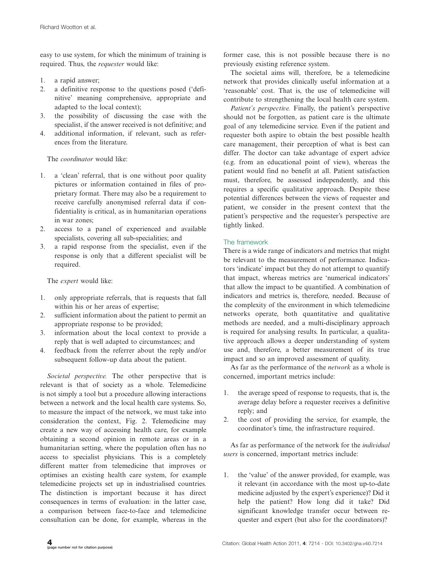easy to use system, for which the minimum of training is required. Thus, the requester would like:

- 1. a rapid answer;
- 2. a definitive response to the questions posed ('definitive' meaning comprehensive, appropriate and adapted to the local context);
- 3. the possibility of discussing the case with the specialist, if the answer received is not definitive; and
- 4. additional information, if relevant, such as references from the literature.

The coordinator would like:

- 1. a 'clean' referral, that is one without poor quality pictures or information contained in files of proprietary format. There may also be a requirement to receive carefully anonymised referral data if confidentiality is critical, as in humanitarian operations in war zones;
- 2. access to a panel of experienced and available specialists, covering all sub-specialities; and
- 3. a rapid response from the specialist, even if the response is only that a different specialist will be required.

The expert would like:

- 1. only appropriate referrals, that is requests that fall within his or her areas of expertise;
- 2. sufficient information about the patient to permit an appropriate response to be provided;
- 3. information about the local context to provide a reply that is well adapted to circumstances; and
- 4. feedback from the referrer about the reply and/or subsequent follow-up data about the patient.

Societal perspective. The other perspective that is relevant is that of society as a whole. Telemedicine is not simply a tool but a procedure allowing interactions between a network and the local health care systems. So, to measure the impact of the network, we must take into consideration the context, Fig. 2. Telemedicine may create a new way of accessing health care, for example obtaining a second opinion in remote areas or in a humanitarian setting, where the population often has no access to specialist physicians. This is a completely different matter from telemedicine that improves or optimises an existing health care system, for example telemedicine projects set up in industrialised countries. The distinction is important because it has direct consequences in terms of evaluation: in the latter case, a comparison between face-to-face and telemedicine consultation can be done, for example, whereas in the

former case, this is not possible because there is no previously existing reference system.

The societal aims will, therefore, be a telemedicine network that provides clinically useful information at a 'reasonable' cost. That is, the use of telemedicine will contribute to strengthening the local health care system.

Patient's perspective. Finally, the patient's perspective should not be forgotten, as patient care is the ultimate goal of any telemedicine service. Even if the patient and requester both aspire to obtain the best possible health care management, their perception of what is best can differ. The doctor can take advantage of expert advice (e.g. from an educational point of view), whereas the patient would find no benefit at all. Patient satisfaction must, therefore, be assessed independently, and this requires a specific qualitative approach. Despite these potential differences between the views of requester and patient, we consider in the present context that the patient's perspective and the requester's perspective are tightly linked.

# The framework

There is a wide range of indicators and metrics that might be relevant to the measurement of performance. Indicators 'indicate' impact but they do not attempt to quantify that impact, whereas metrics are 'numerical indicators' that allow the impact to be quantified. A combination of indicators and metrics is, therefore, needed. Because of the complexity of the environment in which telemedicine networks operate, both quantitative and qualitative methods are needed, and a multi-disciplinary approach is required for analysing results. In particular, a qualitative approach allows a deeper understanding of system use and, therefore, a better measurement of its true impact and so an improved assessment of quality.

As far as the performance of the network as a whole is concerned, important metrics include:

- 1. the average speed of response to requests, that is, the average delay before a requester receives a definitive reply; and
- 2. the cost of providing the service, for example, the coordinator's time, the infrastructure required.

As far as performance of the network for the individual users is concerned, important metrics include:

1. the 'value' of the answer provided, for example, was it relevant (in accordance with the most up-to-date medicine adjusted by the expert's experience)? Did it help the patient? How long did it take? Did significant knowledge transfer occur between requester and expert (but also for the coordinators)?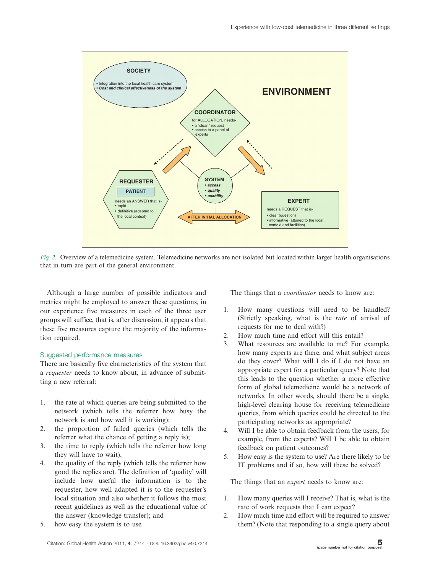

Fig. 2. Overview of a telemedicine system. Telemedicine networks are not isolated but located within larger health organisations that in turn are part of the general environment.

Although a large number of possible indicators and metrics might be employed to answer these questions, in our experience five measures in each of the three user groups will suffice, that is, after discussion, it appears that these five measures capture the majority of the information required.

#### Suggested performance measures

There are basically five characteristics of the system that a requester needs to know about, in advance of submitting a new referral:

- 1. the rate at which queries are being submitted to the network (which tells the referrer how busy the network is and how well it is working);
- 2. the proportion of failed queries (which tells the referrer what the chance of getting a reply is);
- 3. the time to reply (which tells the referrer how long they will have to wait);
- 4. the quality of the reply (which tells the referrer how good the replies are). The definition of 'quality' will include how useful the information is to the requester, how well adapted it is to the requester's local situation and also whether it follows the most recent guidelines as well as the educational value of the answer (knowledge transfer); and
- 5. how easy the system is to use.

The things that a *coordinator* needs to know are:

- 1. How many questions will need to be handled? (Strictly speaking, what is the rate of arrival of requests for me to deal with?)
- 2. How much time and effort will this entail?
- 3. What resources are available to me? For example, how many experts are there, and what subject areas do they cover? What will I do if I do not have an appropriate expert for a particular query? Note that this leads to the question whether a more effective form of global telemedicine would be a network of networks. In other words, should there be a single, high-level clearing house for receiving telemedicine queries, from which queries could be directed to the participating networks as appropriate?
- 4. Will I be able to obtain feedback from the users, for example, from the experts? Will I be able to obtain feedback on patient outcomes?
- 5. How easy is the system to use? Are there likely to be IT problems and if so, how will these be solved?

The things that an *expert* needs to know are:

- 1. How many queries will I receive? That is, what is the rate of work requests that I can expect?
- 2. How much time and effort will be required to answer them? (Note that responding to a single query about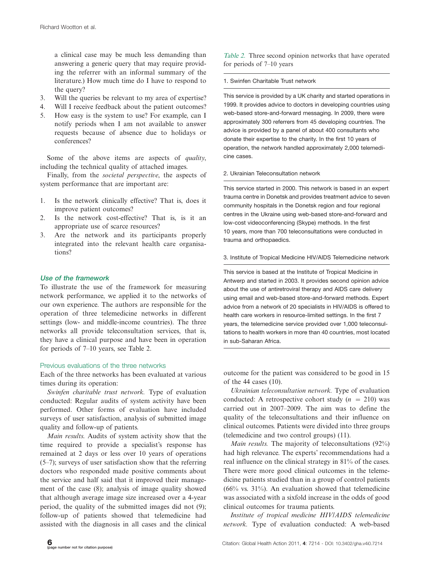a clinical case may be much less demanding than answering a generic query that may require providing the referrer with an informal summary of the literature.) How much time do I have to respond to the query?

- 3. Will the queries be relevant to my area of expertise?
- Will I receive feedback about the patient outcomes?
- 5. How easy is the system to use? For example, can I notify periods when I am not available to answer requests because of absence due to holidays or conferences?

Some of the above items are aspects of quality, including the technical quality of attached images.

Finally, from the societal perspective, the aspects of system performance that are important are:

- 1. Is the network clinically effective? That is, does it improve patient outcomes?
- 2. Is the network cost-effective? That is, is it an appropriate use of scarce resources?
- 3. Are the network and its participants properly integrated into the relevant health care organisations?

# Use of the framework

To illustrate the use of the framework for measuring network performance, we applied it to the networks of our own experience. The authors are responsible for the operation of three telemedicine networks in different settings (low- and middle-income countries). The three networks all provide teleconsultation services, that is, they have a clinical purpose and have been in operation for periods of  $7-10$  years, see Table 2.

# Previous evaluations of the three networks

Each of the three networks has been evaluated at various times during its operation:

Swinfen charitable trust network. Type of evaluation conducted: Regular audits of system activity have been performed. Other forms of evaluation have included surveys of user satisfaction, analysis of submitted image quality and follow-up of patients.

Main results. Audits of system activity show that the time required to provide a specialist's response has remained at 2 days or less over 10 years of operations  $(5-7)$ ; surveys of user satisfaction show that the referring doctors who responded made positive comments about the service and half said that it improved their management of the case (8); analysis of image quality showed that although average image size increased over a 4-year period, the quality of the submitted images did not (9); follow-up of patients showed that telemedicine had assisted with the diagnosis in all cases and the clinical Table <sup>2</sup>. Three second opinion networks that have operated for periods of  $7-10$  years

#### 1. Swinfen Charitable Trust network

This service is provided by a UK charity and started operations in 1999. It provides advice to doctors in developing countries using web-based store-and-forward messaging. In 2009, there were approximately 300 referrers from 45 developing countries. The advice is provided by a panel of about 400 consultants who donate their expertise to the charity. In the first 10 years of operation, the network handled approximately 2,000 telemedicine cases.

# 2. Ukrainian Teleconsultation network

This service started in 2000. This network is based in an expert trauma centre in Donetsk and provides treatment advice to seven community hospitals in the Donetsk region and four regional centres in the Ukraine using web-based store-and-forward and low-cost videoconferencing (Skype) methods. In the first 10 years, more than 700 teleconsultations were conducted in trauma and orthopaedics.

#### 3. Institute of Tropical Medicine HIV/AIDS Telemedicine network

This service is based at the Institute of Tropical Medicine in Antwerp and started in 2003. It provides second opinion advice about the use of antiretroviral therapy and AIDS care delivery using email and web-based store-and-forward methods. Expert advice from a network of 20 specialists in HIV/AIDS is offered to health care workers in resource-limited settings. In the first 7 years, the telemedicine service provided over 1,000 teleconsultations to health workers in more than 40 countries, most located in sub-Saharan Africa.

outcome for the patient was considered to be good in 15 of the 44 cases (10).

Ukrainian teleconsultation network. Type of evaluation conducted: A retrospective cohort study  $(n = 210)$  was carried out in  $2007-2009$ . The aim was to define the quality of the teleconsultations and their influence on clinical outcomes. Patients were divided into three groups (telemedicine and two control groups) (11).

Main results. The majority of teleconsultations (92%) had high relevance. The experts' recommendations had a real influence on the clinical strategy in 81% of the cases. There were more good clinical outcomes in the telemedicine patients studied than in a group of control patients  $(66\%$  vs. 31%). An evaluation showed that telemedicine was associated with a sixfold increase in the odds of good clinical outcomes for trauma patients.

Institute of tropical medicine HIV/AIDS telemedicine network. Type of evaluation conducted: A web-based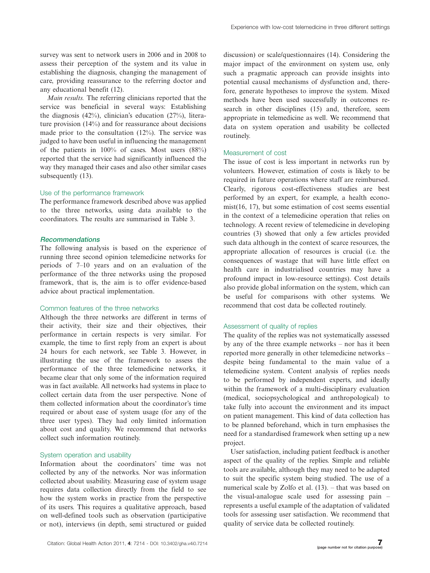survey was sent to network users in 2006 and in 2008 to assess their perception of the system and its value in establishing the diagnosis, changing the management of care, providing reassurance to the referring doctor and any educational benefit (12).

Main results. The referring clinicians reported that the service was beneficial in several ways: Establishing the diagnosis (42%), clinician's education (27%), literature provision (14%) and for reassurance about decisions made prior to the consultation  $(12%)$ . The service was judged to have been useful in influencing the management of the patients in 100% of cases. Most users (88%) reported that the service had significantly influenced the way they managed their cases and also other similar cases subsequently  $(13)$ .

#### Use of the performance framework

The performance framework described above was applied to the three networks, using data available to the coordinators. The results are summarised in Table 3.

# Recommendations

The following analysis is based on the experience of running three second opinion telemedicine networks for periods of  $7-10$  years and on an evaluation of the performance of the three networks using the proposed framework, that is, the aim is to offer evidence-based advice about practical implementation.

# Common features of the three networks

Although the three networks are different in terms of their activity, their size and their objectives, their performance in certain respects is very similar. For example, the time to first reply from an expert is about 24 hours for each network, see Table 3. However, in illustrating the use of the framework to assess the performance of the three telemedicine networks, it became clear that only some of the information required was in fact available. All networks had systems in place to collect certain data from the user perspective. None of them collected information about the coordinator's time required or about ease of system usage (for any of the three user types). They had only limited information about cost and quality. We recommend that networks collect such information routinely.

# System operation and usability

Information about the coordinators' time was not collected by any of the networks. Nor was information collected about usability. Measuring ease of system usage requires data collection directly from the field to see how the system works in practice from the perspective of its users. This requires a qualitative approach, based on well-defined tools such as observation (participative or not), interviews (in depth, semi structured or guided discussion) or scale/questionnaires (14). Considering the major impact of the environment on system use, only such a pragmatic approach can provide insights into potential causal mechanisms of dysfunction and, therefore, generate hypotheses to improve the system. Mixed methods have been used successfully in outcomes research in other disciplines (15) and, therefore, seem appropriate in telemedicine as well. We recommend that data on system operation and usability be collected routinely.

#### Measurement of cost

The issue of cost is less important in networks run by volunteers. However, estimation of costs is likely to be required in future operations where staff are reimbursed. Clearly, rigorous cost-effectiveness studies are best performed by an expert, for example, a health economist(16, 17), but some estimation of cost seems essential in the context of a telemedicine operation that relies on technology. A recent review of telemedicine in developing countries (3) showed that only a few articles provided such data although in the context of scarce resources, the appropriate allocation of resources is crucial (i.e. the consequences of wastage that will have little effect on health care in industrialised countries may have a profound impact in low-resource settings). Cost details also provide global information on the system, which can be useful for comparisons with other systems. We recommend that cost data be collected routinely.

#### Assessment of quality of replies

The quality of the replies was not systematically assessed by any of the three example networks  $-$  nor has it been reported more generally in other telemedicine networks despite being fundamental to the main value of a telemedicine system. Content analysis of replies needs to be performed by independent experts, and ideally within the framework of a multi-disciplinary evaluation (medical, sociopsychological and anthropological) to take fully into account the environment and its impact on patient management. This kind of data collection has to be planned beforehand, which in turn emphasises the need for a standardised framework when setting up a new project.

User satisfaction, including patient feedback is another aspect of the quality of the replies. Simple and reliable tools are available, although they may need to be adapted to suit the specific system being studied. The use of a numerical scale by Zolfo et al.  $(13)$ . – that was based on the visual-analogue scale used for assessing pain represents a useful example of the adaptation of validated tools for assessing user satisfaction. We recommend that quality of service data be collected routinely.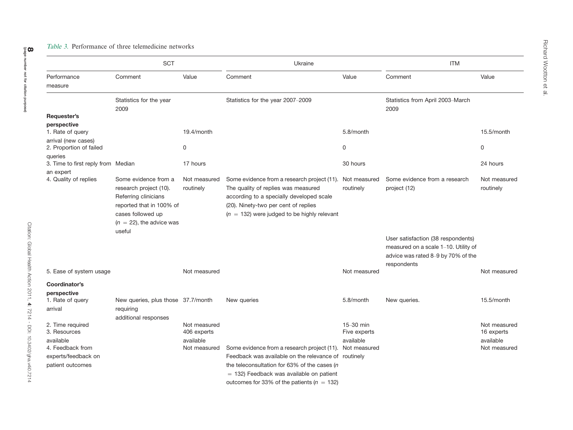#### Table 3. Performance of three telemedicine networks

|                                    | <b>SCT</b>                                                                                                                                                       |                             | Ukraine                                                                                                                                                                                                                 |                           | <b>ITM</b>                                                                                                                      |                            |
|------------------------------------|------------------------------------------------------------------------------------------------------------------------------------------------------------------|-----------------------------|-------------------------------------------------------------------------------------------------------------------------------------------------------------------------------------------------------------------------|---------------------------|---------------------------------------------------------------------------------------------------------------------------------|----------------------------|
| Performance<br>measure             | Comment                                                                                                                                                          | Value                       | Comment                                                                                                                                                                                                                 | Value                     | Comment                                                                                                                         | Value                      |
|                                    | Statistics for the year<br>2009                                                                                                                                  |                             | Statistics for the year 2007-2009                                                                                                                                                                                       |                           | Statistics from April 2003-March<br>2009                                                                                        |                            |
| Requester's                        |                                                                                                                                                                  |                             |                                                                                                                                                                                                                         |                           |                                                                                                                                 |                            |
| perspective                        |                                                                                                                                                                  |                             |                                                                                                                                                                                                                         |                           |                                                                                                                                 |                            |
| 1. Rate of query                   |                                                                                                                                                                  | 19.4/month                  |                                                                                                                                                                                                                         | 5.8/month                 |                                                                                                                                 | 15.5/month                 |
| arrival (new cases)                |                                                                                                                                                                  |                             |                                                                                                                                                                                                                         |                           |                                                                                                                                 |                            |
| 2. Proportion of failed            |                                                                                                                                                                  | 0                           |                                                                                                                                                                                                                         | $\mathbf 0$               |                                                                                                                                 | 0                          |
| queries                            |                                                                                                                                                                  |                             |                                                                                                                                                                                                                         |                           |                                                                                                                                 |                            |
| 3. Time to first reply from Median |                                                                                                                                                                  | 17 hours                    |                                                                                                                                                                                                                         | 30 hours                  |                                                                                                                                 | 24 hours                   |
| an expert<br>4. Quality of replies | Some evidence from a<br>research project (10).<br>Referring clinicians<br>reported that in 100% of<br>cases followed up<br>$(n = 22)$ , the advice was<br>useful | Not measured<br>routinely   | Some evidence from a research project (11).<br>The quality of replies was measured<br>according to a specially developed scale<br>(20). Ninety-two per cent of replies<br>$(n = 132)$ were judged to be highly relevant | Not measured<br>routinely | Some evidence from a research<br>project (12)                                                                                   | Not measured<br>routinely  |
| 5. Ease of system usage            |                                                                                                                                                                  | Not measured                |                                                                                                                                                                                                                         | Not measured              | User satisfaction (38 respondents)<br>measured on a scale 1-10. Utility of<br>advice was rated 8-9 by 70% of the<br>respondents | Not measured               |
|                                    |                                                                                                                                                                  |                             |                                                                                                                                                                                                                         |                           |                                                                                                                                 |                            |
| Coordinator's                      |                                                                                                                                                                  |                             |                                                                                                                                                                                                                         |                           |                                                                                                                                 |                            |
| perspective                        |                                                                                                                                                                  |                             |                                                                                                                                                                                                                         |                           |                                                                                                                                 |                            |
| 1. Rate of query                   | New queries, plus those 37.7/month                                                                                                                               |                             | New queries                                                                                                                                                                                                             | 5.8/month                 | New queries.                                                                                                                    | 15.5/month                 |
| arrival                            | requiring                                                                                                                                                        |                             |                                                                                                                                                                                                                         |                           |                                                                                                                                 |                            |
|                                    | additional responses                                                                                                                                             |                             |                                                                                                                                                                                                                         |                           |                                                                                                                                 |                            |
| 2. Time required<br>3. Resources   |                                                                                                                                                                  | Not measured<br>406 experts |                                                                                                                                                                                                                         | 15-30 min<br>Five experts |                                                                                                                                 | Not measured<br>16 experts |
| available                          |                                                                                                                                                                  | available                   |                                                                                                                                                                                                                         | available                 |                                                                                                                                 | available                  |
| 4. Feedback from                   |                                                                                                                                                                  | Not measured                | Some evidence from a research project (11). Not measured                                                                                                                                                                |                           |                                                                                                                                 | Not measured               |
| experts/feedback on                |                                                                                                                                                                  |                             | Feedback was available on the relevance of routinely                                                                                                                                                                    |                           |                                                                                                                                 |                            |
| patient outcomes                   |                                                                                                                                                                  |                             | the teleconsultation for 63% of the cases (n                                                                                                                                                                            |                           |                                                                                                                                 |                            |
|                                    |                                                                                                                                                                  |                             | $= 132$ ) Feedback was available on patient                                                                                                                                                                             |                           |                                                                                                                                 |                            |
|                                    |                                                                                                                                                                  |                             | outcomes for 33% of the patients ( $n = 132$ )                                                                                                                                                                          |                           |                                                                                                                                 |                            |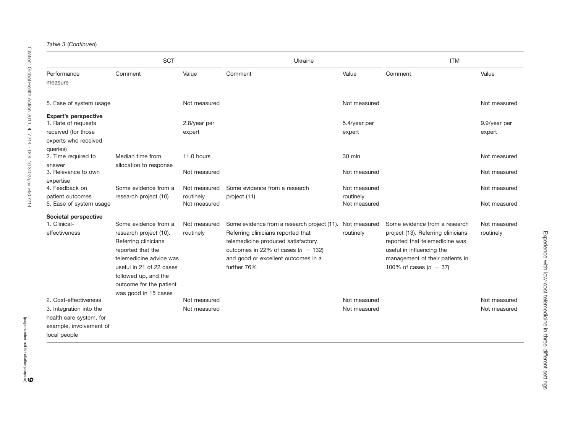Table 3 (Continued)

|                                                                                                                        | <b>SCT</b>                                                                                                                                                                                                                    |                                                           | Ukraine                                                                                                                                                                                                                 |                                                           | <b>ITM</b>                                                                                                                                                                                        |                                              |
|------------------------------------------------------------------------------------------------------------------------|-------------------------------------------------------------------------------------------------------------------------------------------------------------------------------------------------------------------------------|-----------------------------------------------------------|-------------------------------------------------------------------------------------------------------------------------------------------------------------------------------------------------------------------------|-----------------------------------------------------------|---------------------------------------------------------------------------------------------------------------------------------------------------------------------------------------------------|----------------------------------------------|
| Performance<br>measure                                                                                                 | Comment                                                                                                                                                                                                                       | Value                                                     | Comment                                                                                                                                                                                                                 | Value                                                     | Comment                                                                                                                                                                                           | Value                                        |
| 5. Ease of system usage                                                                                                |                                                                                                                                                                                                                               | Not measured                                              |                                                                                                                                                                                                                         | Not measured                                              |                                                                                                                                                                                                   | Not measured                                 |
| <b>Expert's perspective</b><br>1. Rate of requests<br>received (for those<br>experts who received                      |                                                                                                                                                                                                                               | 2.8/year per<br>expert                                    |                                                                                                                                                                                                                         | 5.4/year per<br>expert                                    |                                                                                                                                                                                                   | 9.9/year per<br>expert                       |
| queries)<br>2. Time required to<br>answer                                                                              | Median time from<br>allocation to response                                                                                                                                                                                    | 11.0 hours                                                |                                                                                                                                                                                                                         | 30 min                                                    |                                                                                                                                                                                                   | Not measured                                 |
| 3. Relevance to own<br>expertise<br>4. Feedback on<br>patient outcomes<br>5. Ease of system usage                      | Some evidence from a<br>research project (10)                                                                                                                                                                                 | Not measured<br>Not measured<br>routinely<br>Not measured | Some evidence from a research<br>project (11)                                                                                                                                                                           | Not measured<br>Not measured<br>routinely<br>Not measured |                                                                                                                                                                                                   | Not measured<br>Not measured<br>Not measured |
| Societal perspective<br>1. Clinical-<br>effectiveness                                                                  | Some evidence from a<br>research project (10).<br>Referring clinicians<br>reported that the<br>telemedicine advice was<br>useful in 21 of 22 cases<br>followed up, and the<br>outcome for the patient<br>was good in 15 cases | Not measured<br>routinely                                 | Some evidence from a research project (11).<br>Referring clinicians reported that<br>telemedicine produced satisfactory<br>outcomes in 22% of cases ( $n = 132$ )<br>and good or excellent outcomes in a<br>further 76% | Not measured<br>routinely                                 | Some evidence from a research<br>project (13). Referring clinicians<br>reported that telemedicine was<br>useful in influencing the<br>management of their patients in<br>100% of cases $(n = 37)$ | Not measured<br>routinely                    |
| 2. Cost-effectiveness<br>3. Integration into the<br>health care system, for<br>example, involvement of<br>local people |                                                                                                                                                                                                                               | Not measured<br>Not measured                              |                                                                                                                                                                                                                         | Not measured<br>Not measured                              |                                                                                                                                                                                                   | Not measured<br>Not measured                 |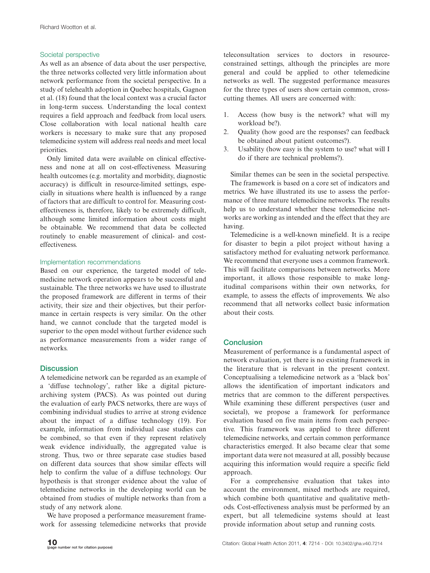# Societal perspective

As well as an absence of data about the user perspective, the three networks collected very little information about network performance from the societal perspective. In a study of telehealth adoption in Quebec hospitals, Gagnon et al. (18) found that the local context was a crucial factor in long-term success. Understanding the local context requires a field approach and feedback from local users. Close collaboration with local national health care workers is necessary to make sure that any proposed telemedicine system will address real needs and meet local priorities.

Only limited data were available on clinical effectiveness and none at all on cost-effectiveness. Measuring health outcomes (e.g. mortality and morbidity, diagnostic accuracy) is difficult in resource-limited settings, especially in situations where health is influenced by a range of factors that are difficult to control for. Measuring costeffectiveness is, therefore, likely to be extremely difficult, although some limited information about costs might be obtainable. We recommend that data be collected routinely to enable measurement of clinical- and costeffectiveness.

# Implementation recommendations

Based on our experience, the targeted model of telemedicine network operation appears to be successful and sustainable. The three networks we have used to illustrate the proposed framework are different in terms of their activity, their size and their objectives, but their performance in certain respects is very similar. On the other hand, we cannot conclude that the targeted model is superior to the open model without further evidence such as performance measurements from a wider range of networks.

# **Discussion**

A telemedicine network can be regarded as an example of a 'diffuse technology', rather like a digital picturearchiving system (PACS). As was pointed out during the evaluation of early PACS networks, there are ways of combining individual studies to arrive at strong evidence about the impact of a diffuse technology (19). For example, information from individual case studies can be combined, so that even if they represent relatively weak evidence individually, the aggregated value is strong. Thus, two or three separate case studies based on different data sources that show similar effects will help to confirm the value of a diffuse technology. Our hypothesis is that stronger evidence about the value of telemedicine networks in the developing world can be obtained from studies of multiple networks than from a study of any network alone.

We have proposed a performance measurement framework for assessing telemedicine networks that provide teleconsultation services to doctors in resourceconstrained settings, although the principles are more general and could be applied to other telemedicine networks as well. The suggested performance measures for the three types of users show certain common, crosscutting themes. All users are concerned with:

- 1. Access (how busy is the network? what will my workload be?).
- 2. Quality (how good are the responses? can feedback be obtained about patient outcomes?).
- 3. Usability (how easy is the system to use? what will I do if there are technical problems?).

Similar themes can be seen in the societal perspective. The framework is based on a core set of indicators and metrics. We have illustrated its use to assess the performance of three mature telemedicine networks. The results help us to understand whether these telemedicine networks are working as intended and the effect that they are having.

Telemedicine is a well-known minefield. It is a recipe for disaster to begin a pilot project without having a satisfactory method for evaluating network performance. We recommend that everyone uses a common framework. This will facilitate comparisons between networks. More important, it allows those responsible to make longitudinal comparisons within their own networks, for example, to assess the effects of improvements. We also recommend that all networks collect basic information about their costs.

# **Conclusion**

Measurement of performance is a fundamental aspect of network evaluation, yet there is no existing framework in the literature that is relevant in the present context. Conceptualising a telemedicine network as a 'black box' allows the identification of important indicators and metrics that are common to the different perspectives. While examining these different perspectives (user and societal), we propose a framework for performance evaluation based on five main items from each perspective. This framework was applied to three different telemedicine networks, and certain common performance characteristics emerged. It also became clear that some important data were not measured at all, possibly because acquiring this information would require a specific field approach.

For a comprehensive evaluation that takes into account the environment, mixed methods are required, which combine both quantitative and qualitative methods. Cost-effectiveness analysis must be performed by an expert, but all telemedicine systems should at least provide information about setup and running costs.